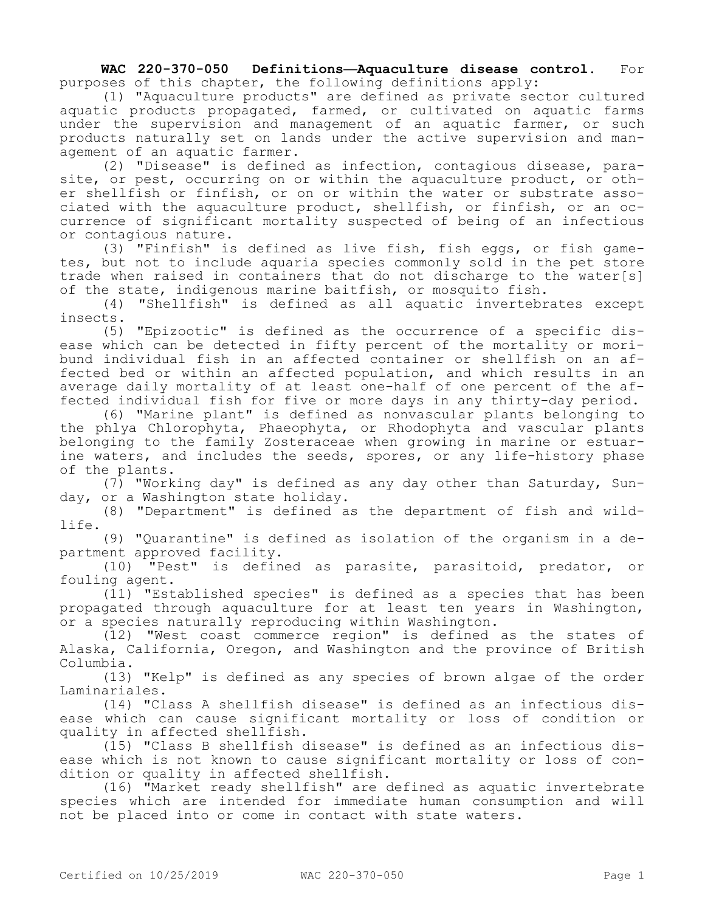**WAC 220-370-050 Definitions—Aquaculture disease control.** For purposes of this chapter, the following definitions apply:

(1) "Aquaculture products" are defined as private sector cultured aquatic products propagated, farmed, or cultivated on aquatic farms under the supervision and management of an aquatic farmer, or such products naturally set on lands under the active supervision and management of an aquatic farmer.

(2) "Disease" is defined as infection, contagious disease, parasite, or pest, occurring on or within the aquaculture product, or other shellfish or finfish, or on or within the water or substrate associated with the aquaculture product, shellfish, or finfish, or an occurrence of significant mortality suspected of being of an infectious or contagious nature.

(3) "Finfish" is defined as live fish, fish eggs, or fish gametes, but not to include aquaria species commonly sold in the pet store trade when raised in containers that do not discharge to the water[s] of the state, indigenous marine baitfish, or mosquito fish.

(4) "Shellfish" is defined as all aquatic invertebrates except insects.

(5) "Epizootic" is defined as the occurrence of a specific disease which can be detected in fifty percent of the mortality or moribund individual fish in an affected container or shellfish on an affected bed or within an affected population, and which results in an average daily mortality of at least one-half of one percent of the affected individual fish for five or more days in any thirty-day period.

(6) "Marine plant" is defined as nonvascular plants belonging to the phlya Chlorophyta, Phaeophyta, or Rhodophyta and vascular plants belonging to the family Zosteraceae when growing in marine or estuarine waters, and includes the seeds, spores, or any life-history phase of the plants.

(7) "Working day" is defined as any day other than Saturday, Sunday, or a Washington state holiday.

(8) "Department" is defined as the department of fish and wildlife.

(9) "Quarantine" is defined as isolation of the organism in a department approved facility.

(10) "Pest" is defined as parasite, parasitoid, predator, or fouling agent.

(11) "Established species" is defined as a species that has been propagated through aquaculture for at least ten years in Washington, or a species naturally reproducing within Washington.

(12) "West coast commerce region" is defined as the states of Alaska, California, Oregon, and Washington and the province of British Columbia.

(13) "Kelp" is defined as any species of brown algae of the order Laminariales.

(14) "Class A shellfish disease" is defined as an infectious disease which can cause significant mortality or loss of condition or quality in affected shellfish.

(15) "Class B shellfish disease" is defined as an infectious disease which is not known to cause significant mortality or loss of condition or quality in affected shellfish.

(16) "Market ready shellfish" are defined as aquatic invertebrate species which are intended for immediate human consumption and will not be placed into or come in contact with state waters.